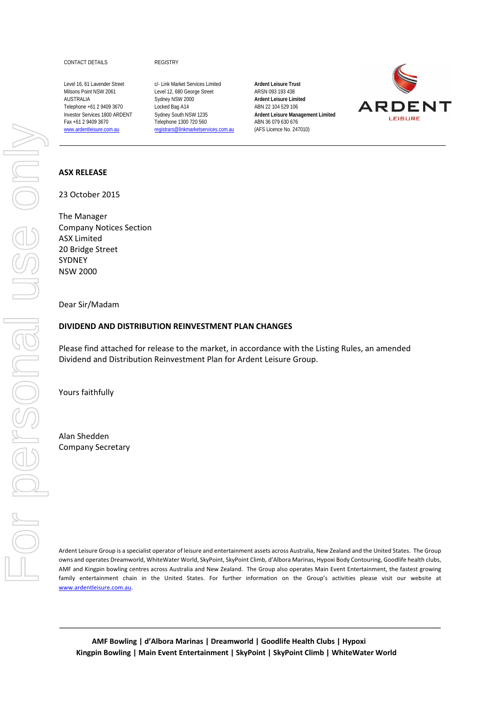CONTACT DETAILS REGISTRY

www.ardentleisure.com.au registrars@linkmarketservices.com.au

Level 16, 61 Lavender Street c/- Link Market Services Limited **Ardent Leisure Trust** Milsons Point NSW 2061 Level 12, 680 George Street ARSN 093 193 438 AUSTRALIA Sydney NSW 2000 **Ardent Leisure Limited** Telephone +61 2 9409 3670 Locked Bag A14 ABN 22 104 529 106 Fax +61 2 9409 3670 Telephone 1300 720 560 ABN 36 079 630 676<br>
<u>www.ardentleisure.com.au</u> registrars@linkmarketservices.com.au (AFS Licence No. 247010)

Investor Services 1800 ARDENT Sydney South NSW 1235 **Ardent Leisure Management Limited** 



#### **ASX RELEASE**

23 October 2015

The Manager Company Notices Section ASX Limited 20 Bridge Street SYDNEY NSW 2000

#### Dear Sir/Madam

#### **DIVIDEND AND DISTRIBUTION REINVESTMENT PLAN CHANGES**

Please find attached for release to the market, in accordance with the Listing Rules, an amended Dividend and Distribution Reinvestment Plan for Ardent Leisure Group.

Yours faithfully

Alan Shedden Company Secretary

Ardent Leisure Group is a specialist operator of leisure and entertainment assets across Australia, New Zealand and the United States. The Group owns and operates Dreamworld, WhiteWater World, SkyPoint, SkyPoint Climb, d'Albora Marinas, Hypoxi Body Contouring, Goodlife health clubs, AMF and Kingpin bowling centres across Australia and New Zealand. The Group also operates Main Event Entertainment, the fastest growing family entertainment chain in the United States. For further information on the Group's activities please visit our website at www.ardentleisure.com.au.

**AMF Bowling | d'Albora Marinas | Dreamworld | Goodlife Health Clubs | Hypoxi Kingpin Bowling | Main Event Entertainment | SkyPoint | SkyPoint Climb | WhiteWater World**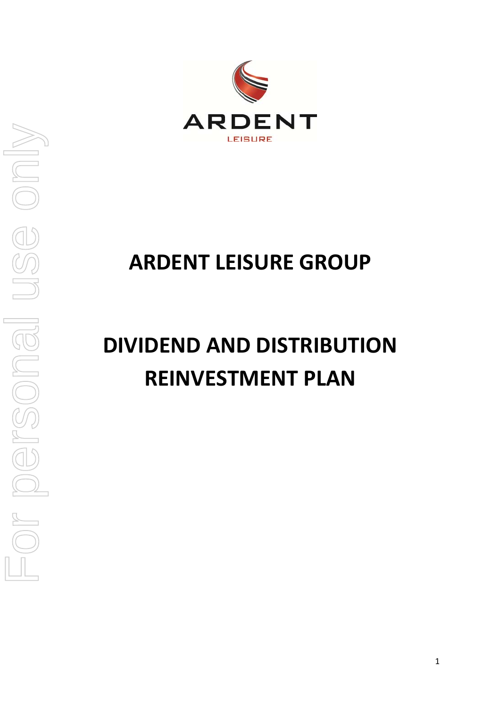

## **ARDENT LEISURE GROUP**

# **DIVIDEND AND DISTRIBUTION REINVESTMENT PLAN**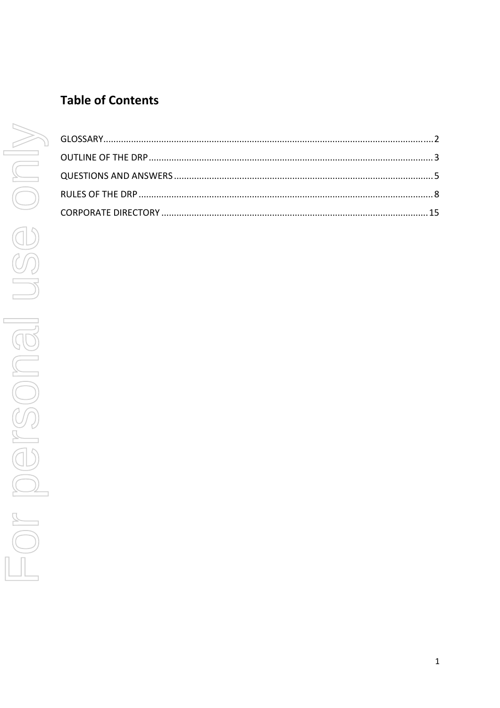## **Table of Contents**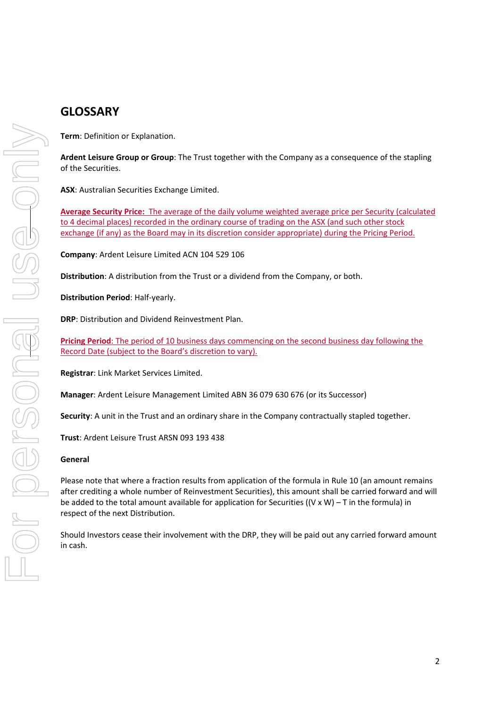**Term**: Definition or Explanation.

**Ardent Leisure Group or Group**: The Trust together with the Company as a consequence of the stapling of the Securities.

**ASX**: Australian Securities Exchange Limited.

**Average Security Price:** The average of the daily volume weighted average price per Security (calculated to 4 decimal places) recorded in the ordinary course of trading on the ASX (and such other stock exchange (if any) as the Board may in its discretion consider appropriate) during the Pricing Period.

**Company**: Ardent Leisure Limited ACN 104 529 106

**Distribution**: A distribution from the Trust or a dividend from the Company, or both.

**Distribution Period**: Half‐yearly.

**DRP**: Distribution and Dividend Reinvestment Plan.

**Pricing Period**: The period of 10 business days commencing on the second business day following the Record Date (subject to the Board's discretion to vary).

**Registrar**: Link Market Services Limited.

**Manager**: Ardent Leisure Management Limited ABN 36 079 630 676 (or its Successor)

**Security**: A unit in the Trust and an ordinary share in the Company contractually stapled together.

**Trust**: Ardent Leisure Trust ARSN 093 193 438

#### **General**

Please note that where a fraction results from application of the formula in Rule 10 (an amount remains after crediting a whole number of Reinvestment Securities), this amount shall be carried forward and will be added to the total amount available for application for Securities  $((V \times W) - T)$  in the formula) in respect of the next Distribution.

Should Investors cease their involvement with the DRP, they will be paid out any carried forward amount in cash.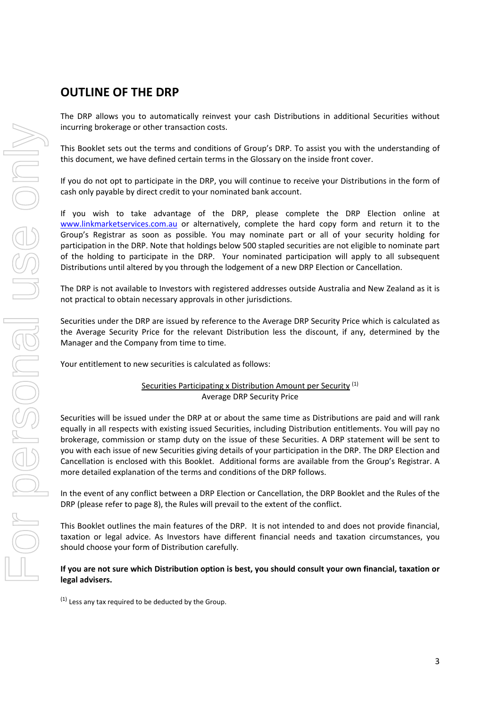## **OUTLINE OF THE DRP**

The DRP allows you to automatically reinvest your cash Distributions in additional Securities without incurring brokerage or other transaction costs.

This Booklet sets out the terms and conditions of Group's DRP. To assist you with the understanding of this document, we have defined certain terms in the Glossary on the inside front cover.

If you do not opt to participate in the DRP, you will continue to receive your Distributions in the form of cash only payable by direct credit to your nominated bank account.

If you wish to take advantage of the DRP, please complete the DRP Election online at www.linkmarketservices.com.au or alternatively, complete the hard copy form and return it to the Group's Registrar as soon as possible. You may nominate part or all of your security holding for participation in the DRP. Note that holdings below 500 stapled securities are not eligible to nominate part of the holding to participate in the DRP. Your nominated participation will apply to all subsequent Distributions until altered by you through the lodgement of a new DRP Election or Cancellation.

The DRP is not available to Investors with registered addresses outside Australia and New Zealand as it is not practical to obtain necessary approvals in other jurisdictions.

Securities under the DRP are issued by reference to the Average DRP Security Price which is calculated as the Average Security Price for the relevant Distribution less the discount, if any, determined by the Manager and the Company from time to time.

Your entitlement to new securities is calculated as follows:

#### Securities Participating x Distribution Amount per Security (1) Average DRP Security Price

Securities will be issued under the DRP at or about the same time as Distributions are paid and will rank equally in all respects with existing issued Securities, including Distribution entitlements. You will pay no brokerage, commission or stamp duty on the issue of these Securities. A DRP statement will be sent to you with each issue of new Securities giving details of your participation in the DRP. The DRP Election and Cancellation is enclosed with this Booklet. Additional forms are available from the Group's Registrar. A more detailed explanation of the terms and conditions of the DRP follows.

In the event of any conflict between a DRP Election or Cancellation, the DRP Booklet and the Rules of the DRP (please refer to page 8), the Rules will prevail to the extent of the conflict.

This Booklet outlines the main features of the DRP. It is not intended to and does not provide financial, taxation or legal advice. As Investors have different financial needs and taxation circumstances, you should choose your form of Distribution carefully.

#### If you are not sure which Distribution option is best, you should consult your own financial, taxation or **legal advisers.**

 $(1)$  Less any tax required to be deducted by the Group.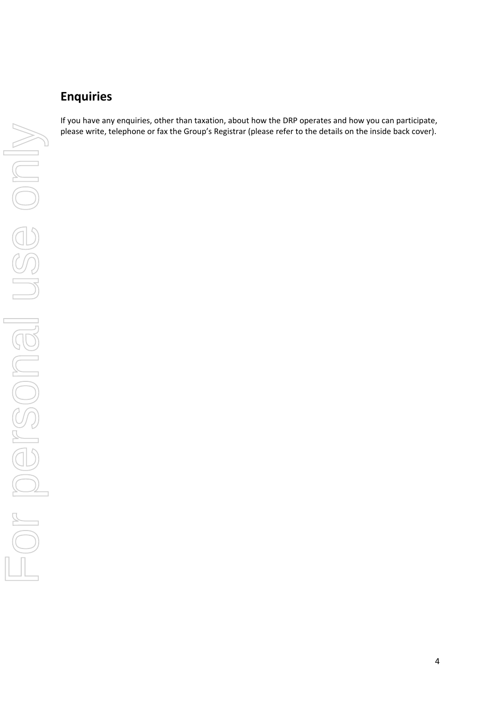## **Enquiries**

If you have any enquiries, other than taxation, about how the DRP operates and how you can participate, please write, telephone or fax the Group's Registrar (please refer to the details on the inside back cover).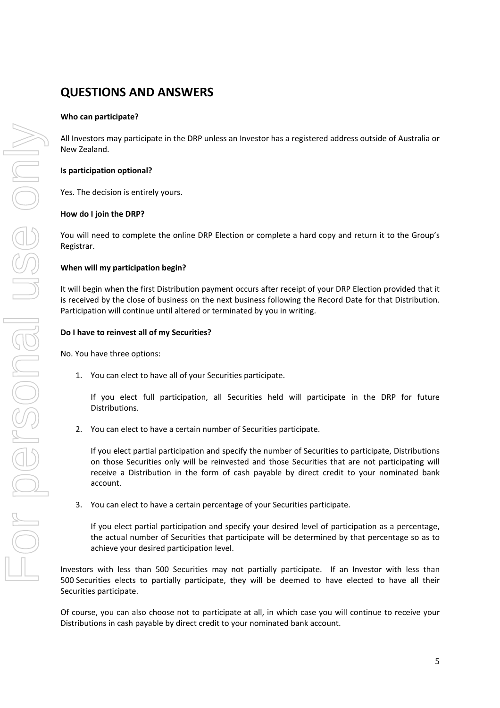## **QUESTIONS AND ANSWERS**

#### **Who can participate?**

All Investors may participate in the DRP unless an Investor has a registered address outside of Australia or New Zealand.

#### **Is participation optional?**

Yes. The decision is entirely yours.

#### **How do I join the DRP?**

You will need to complete the online DRP Election or complete a hard copy and return it to the Group's Registrar.

#### **When will my participation begin?**

It will begin when the first Distribution payment occurs after receipt of your DRP Election provided that it is received by the close of business on the next business following the Record Date for that Distribution. Participation will continue until altered or terminated by you in writing.

#### **Do I have to reinvest all of my Securities?**

No. You have three options:

1. You can elect to have all of your Securities participate.

If you elect full participation, all Securities held will participate in the DRP for future Distributions.

2. You can elect to have a certain number of Securities participate.

If you elect partial participation and specify the number of Securities to participate, Distributions on those Securities only will be reinvested and those Securities that are not participating will receive a Distribution in the form of cash payable by direct credit to your nominated bank account.

3. You can elect to have a certain percentage of your Securities participate.

If you elect partial participation and specify your desired level of participation as a percentage, the actual number of Securities that participate will be determined by that percentage so as to achieve your desired participation level.

Investors with less than 500 Securities may not partially participate. If an Investor with less than 500 Securities elects to partially participate, they will be deemed to have elected to have all their Securities participate.

Of course, you can also choose not to participate at all, in which case you will continue to receive your Distributions in cash payable by direct credit to your nominated bank account.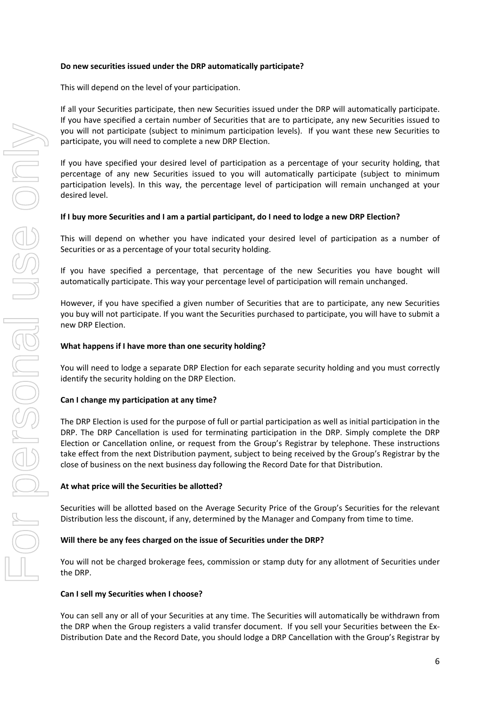#### **Do new securities issued under the DRP automatically participate?**

This will depend on the level of your participation.

If all your Securities participate, then new Securities issued under the DRP will automatically participate. If you have specified a certain number of Securities that are to participate, any new Securities issued to you will not participate (subject to minimum participation levels). If you want these new Securities to participate, you will need to complete a new DRP Election.

If you have specified your desired level of participation as a percentage of your security holding, that percentage of any new Securities issued to you will automatically participate (subject to minimum participation levels). In this way, the percentage level of participation will remain unchanged at your desired level.

#### If I buy more Securities and I am a partial participant, do I need to lodge a new DRP Election?

This will depend on whether you have indicated your desired level of participation as a number of Securities or as a percentage of your total security holding.

If you have specified a percentage, that percentage of the new Securities you have bought will automatically participate. This way your percentage level of participation will remain unchanged.

However, if you have specified a given number of Securities that are to participate, any new Securities you buy will not participate. If you want the Securities purchased to participate, you will have to submit a new DRP Election.

#### **What happens if I have more than one security holding?**

You will need to lodge a separate DRP Election for each separate security holding and you must correctly identify the security holding on the DRP Election.

#### **Can I change my participation at any time?**

The DRP Election is used for the purpose of full or partial participation as well as initial participation in the DRP. The DRP Cancellation is used for terminating participation in the DRP. Simply complete the DRP Election or Cancellation online, or request from the Group's Registrar by telephone. These instructions take effect from the next Distribution payment, subject to being received by the Group's Registrar by the close of business on the next business day following the Record Date for that Distribution.

#### **At what price will the Securities be allotted?**

Securities will be allotted based on the Average Security Price of the Group's Securities for the relevant Distribution less the discount, if any, determined by the Manager and Company from time to time.

#### **Will there be any fees charged on the issue of Securities under the DRP?**

You will not be charged brokerage fees, commission or stamp duty for any allotment of Securities under the DRP.

#### **Can I sell my Securities when I choose?**

You can sell any or all of your Securities at any time. The Securities will automatically be withdrawn from the DRP when the Group registers a valid transfer document. If you sell your Securities between the Ex‐ Distribution Date and the Record Date, you should lodge a DRP Cancellation with the Group's Registrar by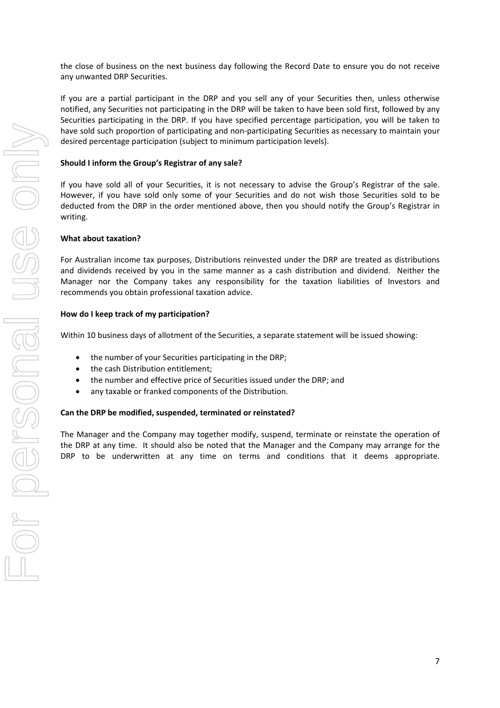the close of business on the next business day following the Record Date to ensure you do not receive any unwanted DRP Securities.

If you are a partial participant in the DRP and you sell any of your Securities then, unless otherwise notified, any Securities not participating in the DRP will be taken to have been sold first, followed by any Securities participating in the DRP. If you have specified percentage participation, you will be taken to have sold such proportion of participating and non-participating Securities as necessary to maintain your desired percentage participation (subject to minimum participation levels).

#### **Should I inform the Group's Registrar of any sale?**

If you have sold all of your Securities, it is not necessary to advise the Group's Registrar of the sale. However, if you have sold only some of your Securities and do not wish those Securities sold to be deducted from the DRP in the order mentioned above, then you should notify the Group's Registrar in writing.

#### **What about taxation?**

For Australian income tax purposes, Distributions reinvested under the DRP are treated as distributions and dividends received by you in the same manner as a cash distribution and dividend. Neither the Manager nor the Company takes any responsibility for the taxation liabilities of Investors and recommends you obtain professional taxation advice.

#### **How do I keep track of my participation?**

Within 10 business days of allotment of the Securities, a separate statement will be issued showing:

- the number of your Securities participating in the DRP;
- the cash Distribution entitlement;
- the number and effective price of Securities issued under the DRP; and
- any taxable or franked components of the Distribution.

#### **Can the DRP be modified, suspended, terminated or reinstated?**

The Manager and the Company may together modify, suspend, terminate or reinstate the operation of the DRP at any time. It should also be noted that the Manager and the Company may arrange for the DRP to be underwritten at any time on terms and conditions that it deems appropriate.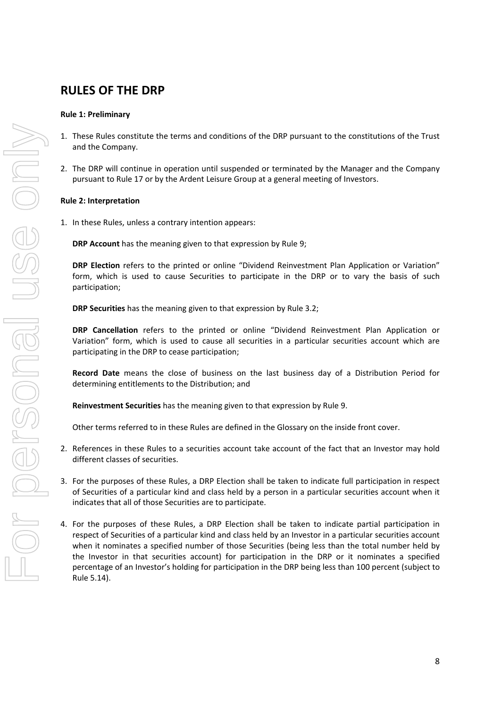## **RULES OF THE DRP**

#### **Rule 1: Preliminary**

- 1. These Rules constitute the terms and conditions of the DRP pursuant to the constitutions of the Trust and the Company.
- 2. The DRP will continue in operation until suspended or terminated by the Manager and the Company pursuant to Rule 17 or by the Ardent Leisure Group at a general meeting of Investors.

#### **Rule 2: Interpretation**

1. In these Rules, unless a contrary intention appears:

**DRP Account** has the meaning given to that expression by Rule 9;

**DRP Election** refers to the printed or online "Dividend Reinvestment Plan Application or Variation" form, which is used to cause Securities to participate in the DRP or to vary the basis of such participation;

**DRP Securities** has the meaning given to that expression by Rule 3.2;

**DRP Cancellation** refers to the printed or online "Dividend Reinvestment Plan Application or Variation" form, which is used to cause all securities in a particular securities account which are participating in the DRP to cease participation;

**Record Date** means the close of business on the last business day of a Distribution Period for determining entitlements to the Distribution; and

**Reinvestment Securities** has the meaning given to that expression by Rule 9.

Other terms referred to in these Rules are defined in the Glossary on the inside front cover.

- 2. References in these Rules to a securities account take account of the fact that an Investor may hold different classes of securities.
- 3. For the purposes of these Rules, a DRP Election shall be taken to indicate full participation in respect of Securities of a particular kind and class held by a person in a particular securities account when it indicates that all of those Securities are to participate.
- 4. For the purposes of these Rules, a DRP Election shall be taken to indicate partial participation in respect of Securities of a particular kind and class held by an Investor in a particular securities account when it nominates a specified number of those Securities (being less than the total number held by the Investor in that securities account) for participation in the DRP or it nominates a specified percentage of an Investor's holding for participation in the DRP being less than 100 percent (subject to Rule 5.14).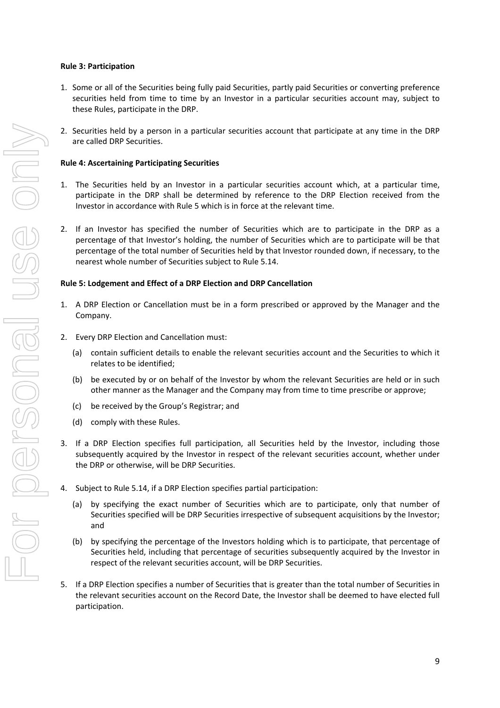#### **Rule 3: Participation**

- 1. Some or all of the Securities being fully paid Securities, partly paid Securities or converting preference securities held from time to time by an Investor in a particular securities account may, subject to these Rules, participate in the DRP.
- 2. Securities held by a person in a particular securities account that participate at any time in the DRP are called DRP Securities.

#### **Rule 4: Ascertaining Participating Securities**

- 1. The Securities held by an Investor in a particular securities account which, at a particular time, participate in the DRP shall be determined by reference to the DRP Election received from the Investor in accordance with Rule 5 which is in force at the relevant time.
- 2. If an Investor has specified the number of Securities which are to participate in the DRP as a percentage of that Investor's holding, the number of Securities which are to participate will be that percentage of the total number of Securities held by that Investor rounded down, if necessary, to the nearest whole number of Securities subject to Rule 5.14.

#### **Rule 5: Lodgement and Effect of a DRP Election and DRP Cancellation**

- 1. A DRP Election or Cancellation must be in a form prescribed or approved by the Manager and the Company.
- 2. Every DRP Election and Cancellation must:
	- (a) contain sufficient details to enable the relevant securities account and the Securities to which it relates to be identified;
	- (b) be executed by or on behalf of the Investor by whom the relevant Securities are held or in such other manner as the Manager and the Company may from time to time prescribe or approve;
	- (c) be received by the Group's Registrar; and
	- (d) comply with these Rules.
- 3. If a DRP Election specifies full participation, all Securities held by the Investor, including those subsequently acquired by the Investor in respect of the relevant securities account, whether under the DRP or otherwise, will be DRP Securities.
- 4. Subject to Rule 5.14, if a DRP Election specifies partial participation:
	- (a) by specifying the exact number of Securities which are to participate, only that number of Securities specified will be DRP Securities irrespective of subsequent acquisitions by the Investor; and
	- (b) by specifying the percentage of the Investors holding which is to participate, that percentage of Securities held, including that percentage of securities subsequently acquired by the Investor in respect of the relevant securities account, will be DRP Securities.
- 5. If a DRP Election specifies a number of Securities that is greater than the total number of Securities in the relevant securities account on the Record Date, the Investor shall be deemed to have elected full participation.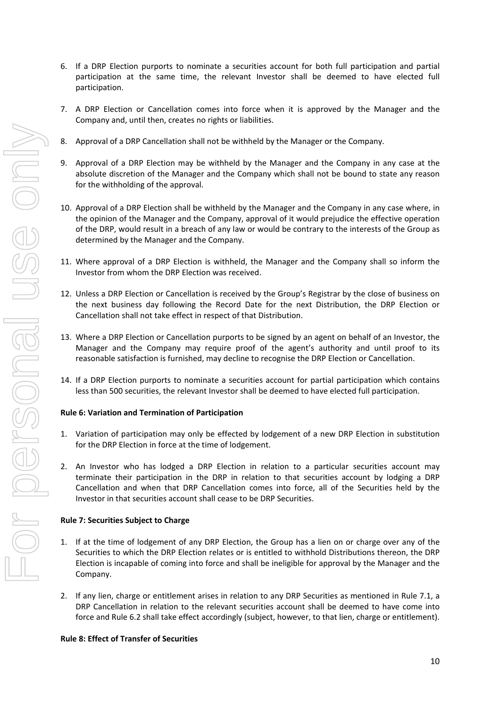- 6. If a DRP Election purports to nominate a securities account for both full participation and partial participation at the same time, the relevant Investor shall be deemed to have elected full participation.
- 7. A DRP Election or Cancellation comes into force when it is approved by the Manager and the Company and, until then, creates no rights or liabilities.
- 8. Approval of a DRP Cancellation shall not be withheld by the Manager or the Company.
- 9. Approval of a DRP Election may be withheld by the Manager and the Company in any case at the absolute discretion of the Manager and the Company which shall not be bound to state any reason for the withholding of the approval.
- 10. Approval of a DRP Election shall be withheld by the Manager and the Company in any case where, in the opinion of the Manager and the Company, approval of it would prejudice the effective operation of the DRP, would result in a breach of any law or would be contrary to the interests of the Group as determined by the Manager and the Company.
- 11. Where approval of a DRP Election is withheld, the Manager and the Company shall so inform the Investor from whom the DRP Election was received.
- 12. Unless a DRP Election or Cancellation is received by the Group's Registrar by the close of business on the next business day following the Record Date for the next Distribution, the DRP Election or Cancellation shall not take effect in respect of that Distribution.
- 13. Where a DRP Election or Cancellation purports to be signed by an agent on behalf of an Investor, the Manager and the Company may require proof of the agent's authority and until proof to its reasonable satisfaction is furnished, may decline to recognise the DRP Election or Cancellation.
- 14. If a DRP Election purports to nominate a securities account for partial participation which contains less than 500 securities, the relevant Investor shall be deemed to have elected full participation.

#### **Rule 6: Variation and Termination of Participation**

- 1. Variation of participation may only be effected by lodgement of a new DRP Election in substitution for the DRP Election in force at the time of lodgement.
- 2. An Investor who has lodged a DRP Election in relation to a particular securities account may terminate their participation in the DRP in relation to that securities account by lodging a DRP Cancellation and when that DRP Cancellation comes into force, all of the Securities held by the Investor in that securities account shall cease to be DRP Securities.

#### **Rule 7: Securities Subject to Charge**

- 1. If at the time of lodgement of any DRP Election, the Group has a lien on or charge over any of the Securities to which the DRP Election relates or is entitled to withhold Distributions thereon, the DRP Election is incapable of coming into force and shall be ineligible for approval by the Manager and the Company.
- 2. If any lien, charge or entitlement arises in relation to any DRP Securities as mentioned in Rule 7.1, a DRP Cancellation in relation to the relevant securities account shall be deemed to have come into force and Rule 6.2 shall take effect accordingly (subject, however, to that lien, charge or entitlement).

#### **Rule 8: Effect of Transfer of Securities**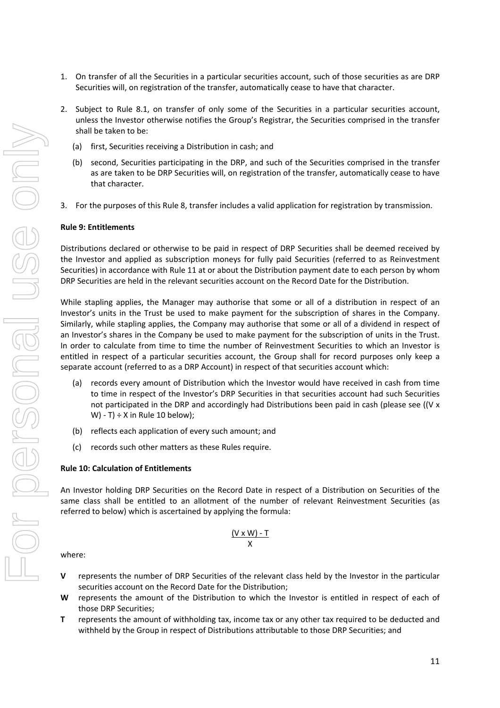- For personal use only Lor personel use onli
- 1. On transfer of all the Securities in a particular securities account, such of those securities as are DRP Securities will, on registration of the transfer, automatically cease to have that character.
- 2. Subject to Rule 8.1, on transfer of only some of the Securities in a particular securities account, unless the Investor otherwise notifies the Group's Registrar, the Securities comprised in the transfer shall be taken to be:
	- (a) first, Securities receiving a Distribution in cash; and
	- (b) second, Securities participating in the DRP, and such of the Securities comprised in the transfer as are taken to be DRP Securities will, on registration of the transfer, automatically cease to have that character.
	- 3. For the purposes of this Rule 8, transfer includes a valid application for registration by transmission.

#### **Rule 9: Entitlements**

Distributions declared or otherwise to be paid in respect of DRP Securities shall be deemed received by the Investor and applied as subscription moneys for fully paid Securities (referred to as Reinvestment Securities) in accordance with Rule 11 at or about the Distribution payment date to each person by whom DRP Securities are held in the relevant securities account on the Record Date for the Distribution.

While stapling applies, the Manager may authorise that some or all of a distribution in respect of an Investor's units in the Trust be used to make payment for the subscription of shares in the Company. Similarly, while stapling applies, the Company may authorise that some or all of a dividend in respect of an Investor's shares in the Company be used to make payment for the subscription of units in the Trust. In order to calculate from time to time the number of Reinvestment Securities to which an Investor is entitled in respect of a particular securities account, the Group shall for record purposes only keep a separate account (referred to as a DRP Account) in respect of that securities account which:

- (a) records every amount of Distribution which the Investor would have received in cash from time to time in respect of the Investor's DRP Securities in that securities account had such Securities not participated in the DRP and accordingly had Distributions been paid in cash (please see ((V x W) - T)  $\div$  X in Rule 10 below);
- (b) reflects each application of every such amount; and
- (c) records such other matters as these Rules require.

#### **Rule 10: Calculation of Entitlements**

An Investor holding DRP Securities on the Record Date in respect of a Distribution on Securities of the same class shall be entitled to an allotment of the number of relevant Reinvestment Securities (as referred to below) which is ascertained by applying the formula:

$$
\frac{(V \times W) \cdot T}{X}
$$

where:

- **V** represents the number of DRP Securities of the relevant class held by the Investor in the particular securities account on the Record Date for the Distribution;
- **W** represents the amount of the Distribution to which the Investor is entitled in respect of each of those DRP Securities;
- **T** represents the amount of withholding tax, income tax or any other tax required to be deducted and withheld by the Group in respect of Distributions attributable to those DRP Securities; and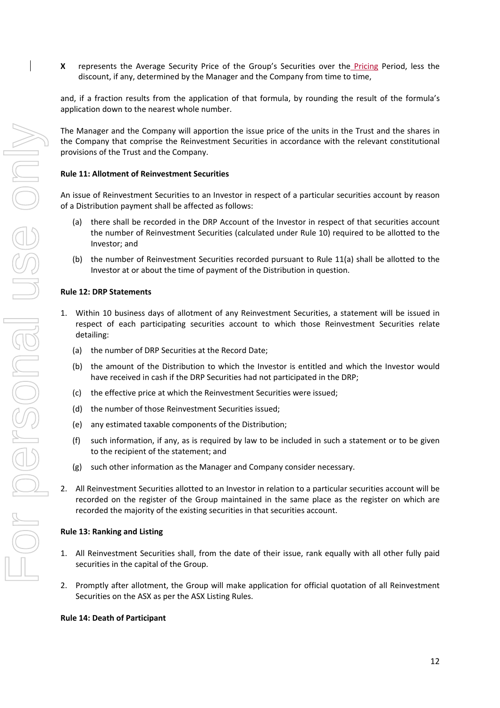**X**  represents the Average Security Price of the Group's Securities over the Pricing Period, less the discount, if any, determined by the Manager and the Company from time to time,

and, if a fraction results from the application of that formula, by rounding the result of the formula's application down to the nearest whole number.

The Manager and the Company will apportion the issue price of the units in the Trust and the shares in the Company that comprise the Reinvestment Securities in accordance with the relevant constitutional provisions of the Trust and the Company.

#### **Rule 11: Allotment of Reinvestment Securities**

An issue of Reinvestment Securities to an Investor in respect of a particular securities account by reason of a Distribution payment shall be affected as follows:

- (a) there shall be recorded in the DRP Account of the Investor in respect of that securities account the number of Reinvestment Securities (calculated under Rule 10) required to be allotted to the Investor; and
- (b) the number of Reinvestment Securities recorded pursuant to Rule 11(a) shall be allotted to the Investor at or about the time of payment of the Distribution in question.

#### **Rule 12: DRP Statements**

- 1. Within 10 business days of allotment of any Reinvestment Securities, a statement will be issued in respect of each participating securities account to which those Reinvestment Securities relate detailing:
	- (a) the number of DRP Securities at the Record Date;
	- (b) the amount of the Distribution to which the Investor is entitled and which the Investor would have received in cash if the DRP Securities had not participated in the DRP;
	- (c) the effective price at which the Reinvestment Securities were issued;
	- (d) the number of those Reinvestment Securities issued;
	- (e) any estimated taxable components of the Distribution;
	- (f) such information, if any, as is required by law to be included in such a statement or to be given to the recipient of the statement; and
	- (g) such other information as the Manager and Company consider necessary.
- 2. All Reinvestment Securities allotted to an Investor in relation to a particular securities account will be recorded on the register of the Group maintained in the same place as the register on which are recorded the majority of the existing securities in that securities account.

#### **Rule 13: Ranking and Listing**

- 1. All Reinvestment Securities shall, from the date of their issue, rank equally with all other fully paid securities in the capital of the Group.
- 2. Promptly after allotment, the Group will make application for official quotation of all Reinvestment Securities on the ASX as per the ASX Listing Rules.

#### **Rule 14: Death of Participant**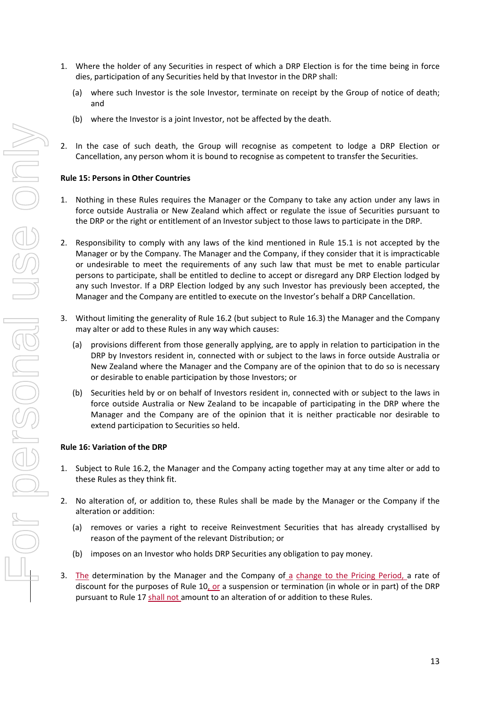- 1. Where the holder of any Securities in respect of which a DRP Election is for the time being in force dies, participation of any Securities held by that Investor in the DRP shall:
	- (a) where such Investor is the sole Investor, terminate on receipt by the Group of notice of death; and
	- (b) where the Investor is a joint Investor, not be affected by the death.
- 2. In the case of such death, the Group will recognise as competent to lodge a DRP Election or Cancellation, any person whom it is bound to recognise as competent to transfer the Securities.

#### **Rule 15: Persons in Other Countries**

- 1. Nothing in these Rules requires the Manager or the Company to take any action under any laws in force outside Australia or New Zealand which affect or regulate the issue of Securities pursuant to the DRP or the right or entitlement of an Investor subject to those laws to participate in the DRP.
- 2. Responsibility to comply with any laws of the kind mentioned in Rule 15.1 is not accepted by the Manager or by the Company. The Manager and the Company, if they consider that it is impracticable or undesirable to meet the requirements of any such law that must be met to enable particular persons to participate, shall be entitled to decline to accept or disregard any DRP Election lodged by any such Investor. If a DRP Election lodged by any such Investor has previously been accepted, the Manager and the Company are entitled to execute on the Investor's behalf a DRP Cancellation.
- 3. Without limiting the generality of Rule 16.2 (but subject to Rule 16.3) the Manager and the Company may alter or add to these Rules in any way which causes:
	- (a) provisions different from those generally applying, are to apply in relation to participation in the DRP by Investors resident in, connected with or subject to the laws in force outside Australia or New Zealand where the Manager and the Company are of the opinion that to do so is necessary or desirable to enable participation by those Investors; or
	- (b) Securities held by or on behalf of Investors resident in, connected with or subject to the laws in force outside Australia or New Zealand to be incapable of participating in the DRP where the Manager and the Company are of the opinion that it is neither practicable nor desirable to extend participation to Securities so held.

#### **Rule 16: Variation of the DRP**

- 1. Subject to Rule 16.2, the Manager and the Company acting together may at any time alter or add to these Rules as they think fit.
- 2. No alteration of, or addition to, these Rules shall be made by the Manager or the Company if the alteration or addition:
	- (a) removes or varies a right to receive Reinvestment Securities that has already crystallised by reason of the payment of the relevant Distribution; or
	- (b) imposes on an Investor who holds DRP Securities any obligation to pay money.
- 3. The determination by the Manager and the Company of a change to the Pricing Period, a rate of discount for the purposes of Rule 10, or a suspension or termination (in whole or in part) of the DRP pursuant to Rule 17 shall not amount to an alteration of or addition to these Rules.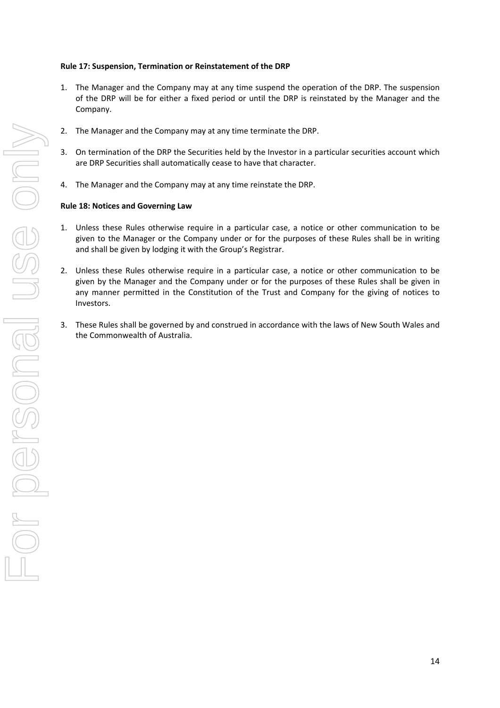#### **Rule 17: Suspension, Termination or Reinstatement of the DRP**

- 1. The Manager and the Company may at any time suspend the operation of the DRP. The suspension of the DRP will be for either a fixed period or until the DRP is reinstated by the Manager and the Company.
- 2. The Manager and the Company may at any time terminate the DRP.
- 3. On termination of the DRP the Securities held by the Investor in a particular securities account which are DRP Securities shall automatically cease to have that character.
- 4. The Manager and the Company may at any time reinstate the DRP.

#### **Rule 18: Notices and Governing Law**

- 1. Unless these Rules otherwise require in a particular case, a notice or other communication to be given to the Manager or the Company under or for the purposes of these Rules shall be in writing and shall be given by lodging it with the Group's Registrar.
- 2. Unless these Rules otherwise require in a particular case, a notice or other communication to be given by the Manager and the Company under or for the purposes of these Rules shall be given in any manner permitted in the Constitution of the Trust and Company for the giving of notices to Investors.
- 3. These Rules shall be governed by and construed in accordance with the laws of New South Wales and the Commonwealth of Australia.